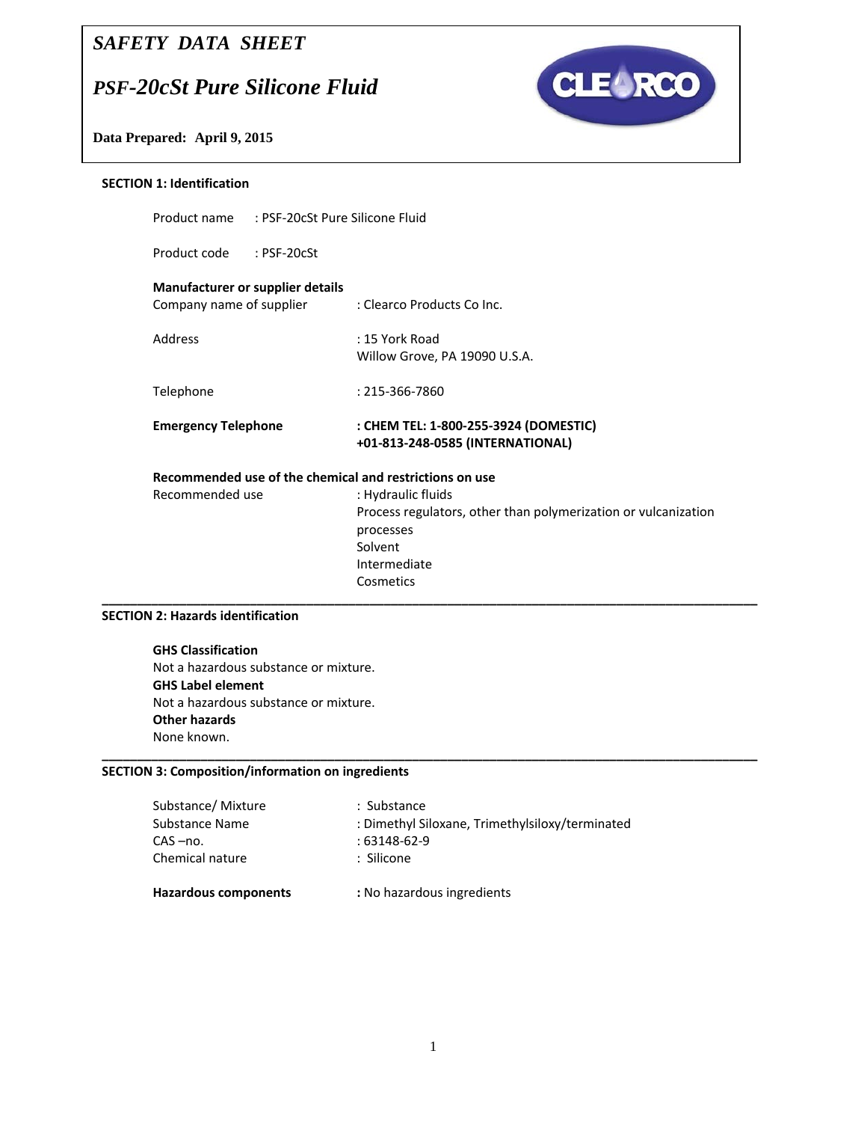# *SAFETY DATA SHEET*

# *PSF-20cSt Pure Silicone Fluid*

Product name : PSF‐20cSt Pure Silicone Fluid



**Data Prepared: April 9, 2015** 

#### **SECTION 1: Identification**

| <b>Manufacturer or supplier details</b><br>Company name of supplier | : Clearco Products Co Inc.                                                |
|---------------------------------------------------------------------|---------------------------------------------------------------------------|
| Address                                                             | $: 15$ York Road<br>Willow Grove, PA 19090 U.S.A.                         |
| Telephone                                                           | $: 215 - 366 - 7860$                                                      |
| <b>Emergency Telephone</b>                                          | : CHEM TEL: 1-800-255-3924 (DOMESTIC)<br>+01-813-248-0585 (INTERNATIONAL) |

# Recommended use

| Recommended use | : Hydraulic fluids                                             |
|-----------------|----------------------------------------------------------------|
|                 | Process regulators, other than polymerization or vulcanization |
|                 | processes                                                      |
|                 | Solvent                                                        |
|                 | Intermediate                                                   |
|                 | Cosmetics                                                      |
|                 |                                                                |

#### **SECTION 2: Hazards identification**

**GHS Classification** Not a hazardous substance or mixture. **GHS Label element** Not a hazardous substance or mixture. **Other hazards** None known.

#### **SECTION 3: Composition/information on ingredients**

| <b>Hazardous components</b> | : No hazardous ingredients                      |
|-----------------------------|-------------------------------------------------|
| Chemical nature             | : Silicone                                      |
| CAS-no.                     | $:63148-62-9$                                   |
| Substance Name              | : Dimethyl Siloxane, Trimethylsiloxy/terminated |
| Substance/ Mixture          | : Substance                                     |
|                             |                                                 |

**\_\_\_\_\_\_\_\_\_\_\_\_\_\_\_\_\_\_\_\_\_\_\_\_\_\_\_\_\_\_\_\_\_\_\_\_\_\_\_\_\_\_\_\_\_\_\_\_\_\_\_\_\_\_\_\_\_\_\_\_\_\_\_\_\_\_\_\_\_\_\_\_\_\_\_\_\_\_\_\_\_\_\_\_\_\_\_\_\_\_\_\_\_**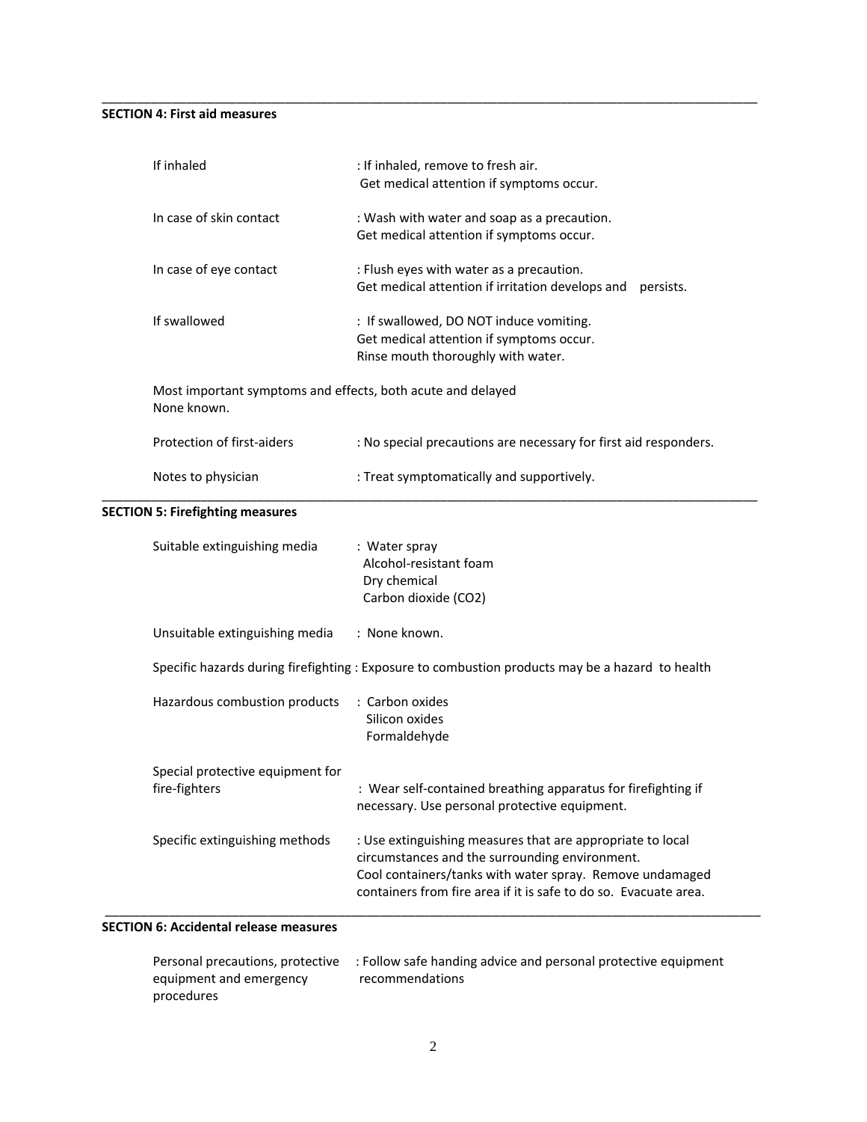#### **SECTION 4: First aid measures**

| If inhaled                                                                 | : If inhaled, remove to fresh air.<br>Get medical attention if symptoms occur.                                                                                                                                                               |
|----------------------------------------------------------------------------|----------------------------------------------------------------------------------------------------------------------------------------------------------------------------------------------------------------------------------------------|
| In case of skin contact                                                    | : Wash with water and soap as a precaution.<br>Get medical attention if symptoms occur.                                                                                                                                                      |
| In case of eye contact                                                     | : Flush eyes with water as a precaution.<br>Get medical attention if irritation develops and<br>persists.                                                                                                                                    |
| If swallowed                                                               | : If swallowed, DO NOT induce vomiting.<br>Get medical attention if symptoms occur.<br>Rinse mouth thoroughly with water.                                                                                                                    |
| Most important symptoms and effects, both acute and delayed<br>None known. |                                                                                                                                                                                                                                              |
| Protection of first-aiders                                                 | : No special precautions are necessary for first aid responders.                                                                                                                                                                             |
| Notes to physician                                                         | : Treat symptomatically and supportively.                                                                                                                                                                                                    |
| <b>SECTION 5: Firefighting measures</b>                                    |                                                                                                                                                                                                                                              |
| Suitable extinguishing media                                               | : Water spray<br>Alcohol-resistant foam<br>Dry chemical<br>Carbon dioxide (CO2)                                                                                                                                                              |
| Unsuitable extinguishing media                                             | : None known.                                                                                                                                                                                                                                |
|                                                                            | Specific hazards during firefighting : Exposure to combustion products may be a hazard to health                                                                                                                                             |
| Hazardous combustion products                                              | : Carbon oxides<br>Silicon oxides<br>Formaldehyde                                                                                                                                                                                            |
| Special protective equipment for<br>fire-fighters                          | : Wear self-contained breathing apparatus for firefighting if<br>necessary. Use personal protective equipment.                                                                                                                               |
| Specific extinguishing methods                                             | : Use extinguishing measures that are appropriate to local<br>circumstances and the surrounding environment.<br>Cool containers/tanks with water spray. Remove undamaged<br>containers from fire area if it is safe to do so. Evacuate area. |

\_\_\_\_\_\_\_\_\_\_\_\_\_\_\_\_\_\_\_\_\_\_\_\_\_\_\_\_\_\_\_\_\_\_\_\_\_\_\_\_\_\_\_\_\_\_\_\_\_\_\_\_\_\_\_\_\_\_\_\_\_\_\_\_\_\_\_\_\_\_\_\_\_\_\_\_\_\_\_\_\_\_\_\_\_\_\_\_\_\_\_\_\_

#### **SECTION 6: Accidental release measures**

|                         | Personal precautions, protective : Follow safe handing advice and personal protective equipment |
|-------------------------|-------------------------------------------------------------------------------------------------|
| equipment and emergency | recommendations                                                                                 |
| procedures              |                                                                                                 |

\_\_\_\_\_\_\_\_\_\_\_\_\_\_\_\_\_\_\_\_\_\_\_\_\_\_\_\_\_\_\_\_\_\_\_\_\_\_\_\_\_\_\_\_\_\_\_\_\_\_\_\_\_\_\_\_\_\_\_\_\_\_\_\_\_\_\_\_\_\_\_\_\_\_\_\_\_\_\_\_\_\_\_\_\_\_\_\_\_\_\_\_\_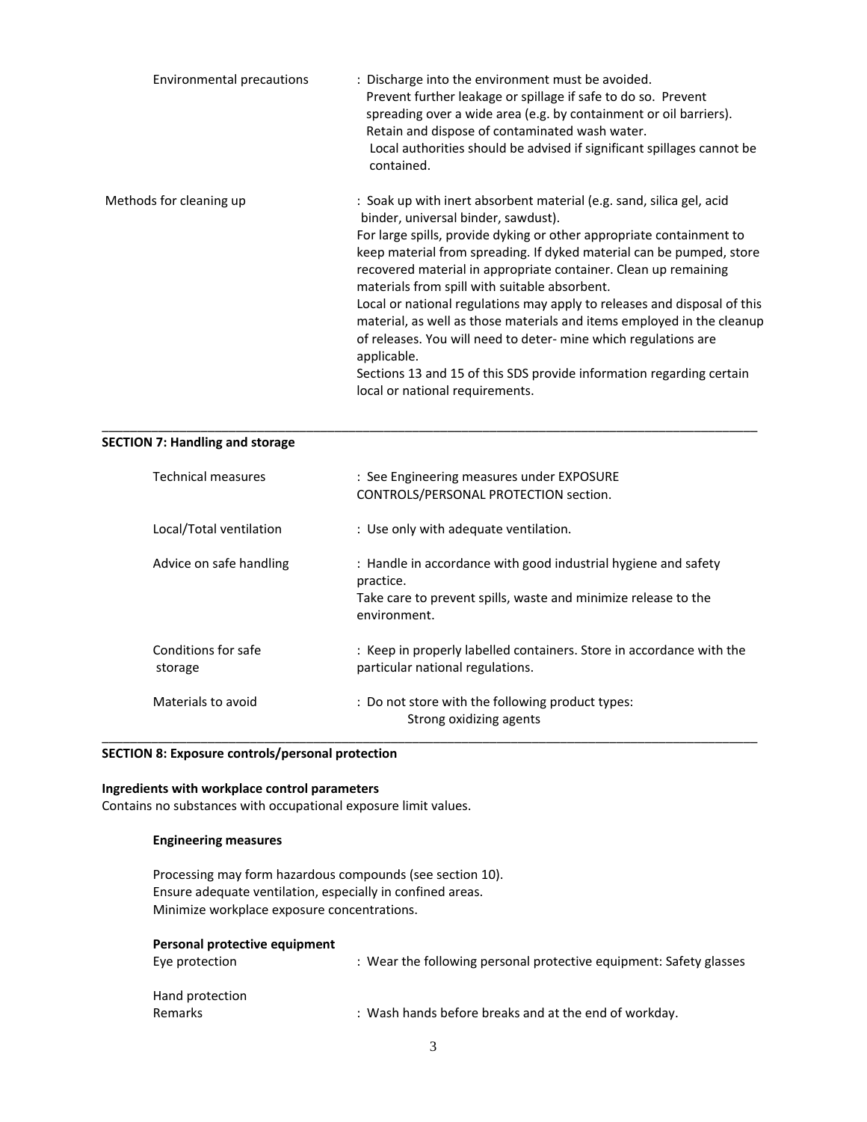| Environmental precautions | : Discharge into the environment must be avoided.<br>Prevent further leakage or spillage if safe to do so. Prevent<br>spreading over a wide area (e.g. by containment or oil barriers).<br>Retain and dispose of contaminated wash water.<br>Local authorities should be advised if significant spillages cannot be<br>contained.                                                                                                                                                                                                                                                                                                                                                                                                  |
|---------------------------|------------------------------------------------------------------------------------------------------------------------------------------------------------------------------------------------------------------------------------------------------------------------------------------------------------------------------------------------------------------------------------------------------------------------------------------------------------------------------------------------------------------------------------------------------------------------------------------------------------------------------------------------------------------------------------------------------------------------------------|
| Methods for cleaning up   | : Soak up with inert absorbent material (e.g. sand, silica gel, acid<br>binder, universal binder, sawdust).<br>For large spills, provide dyking or other appropriate containment to<br>keep material from spreading. If dyked material can be pumped, store<br>recovered material in appropriate container. Clean up remaining<br>materials from spill with suitable absorbent.<br>Local or national regulations may apply to releases and disposal of this<br>material, as well as those materials and items employed in the cleanup<br>of releases. You will need to deter- mine which regulations are<br>applicable.<br>Sections 13 and 15 of this SDS provide information regarding certain<br>local or national requirements. |

\_\_\_\_\_\_\_\_\_\_\_\_\_\_\_\_\_\_\_\_\_\_\_\_\_\_\_\_\_\_\_\_\_\_\_\_\_\_\_\_\_\_\_\_\_\_\_\_\_\_\_\_\_\_\_\_\_\_\_\_\_\_\_\_\_\_\_\_\_\_\_\_\_\_\_\_\_\_\_\_\_\_\_\_\_\_\_\_\_\_\_\_\_

#### **SECTION 7: Handling and storage**

| Technical measures             | : See Engineering measures under EXPOSURE<br>CONTROLS/PERSONAL PROTECTION section.                                                                            |
|--------------------------------|---------------------------------------------------------------------------------------------------------------------------------------------------------------|
| Local/Total ventilation        | : Use only with adequate ventilation.                                                                                                                         |
| Advice on safe handling        | : Handle in accordance with good industrial hygiene and safety<br>practice.<br>Take care to prevent spills, waste and minimize release to the<br>environment. |
| Conditions for safe<br>storage | : Keep in properly labelled containers. Store in accordance with the<br>particular national regulations.                                                      |
| Materials to avoid             | : Do not store with the following product types:<br>Strong oxidizing agents                                                                                   |

#### **SECTION 8: Exposure controls/personal protection**

#### **Ingredients with workplace control parameters**

Contains no substances with occupational exposure limit values.

#### **Engineering measures**

Processing may form hazardous compounds (see section 10). Ensure adequate ventilation, especially in confined areas. Minimize workplace exposure concentrations.

#### **Personal protective equipment**

| Eye protection  | : Wear the following personal protective equipment: Safety glasses |
|-----------------|--------------------------------------------------------------------|
| Hand protection |                                                                    |
| <b>Remarks</b>  | : Wash hands before breaks and at the end of workday.              |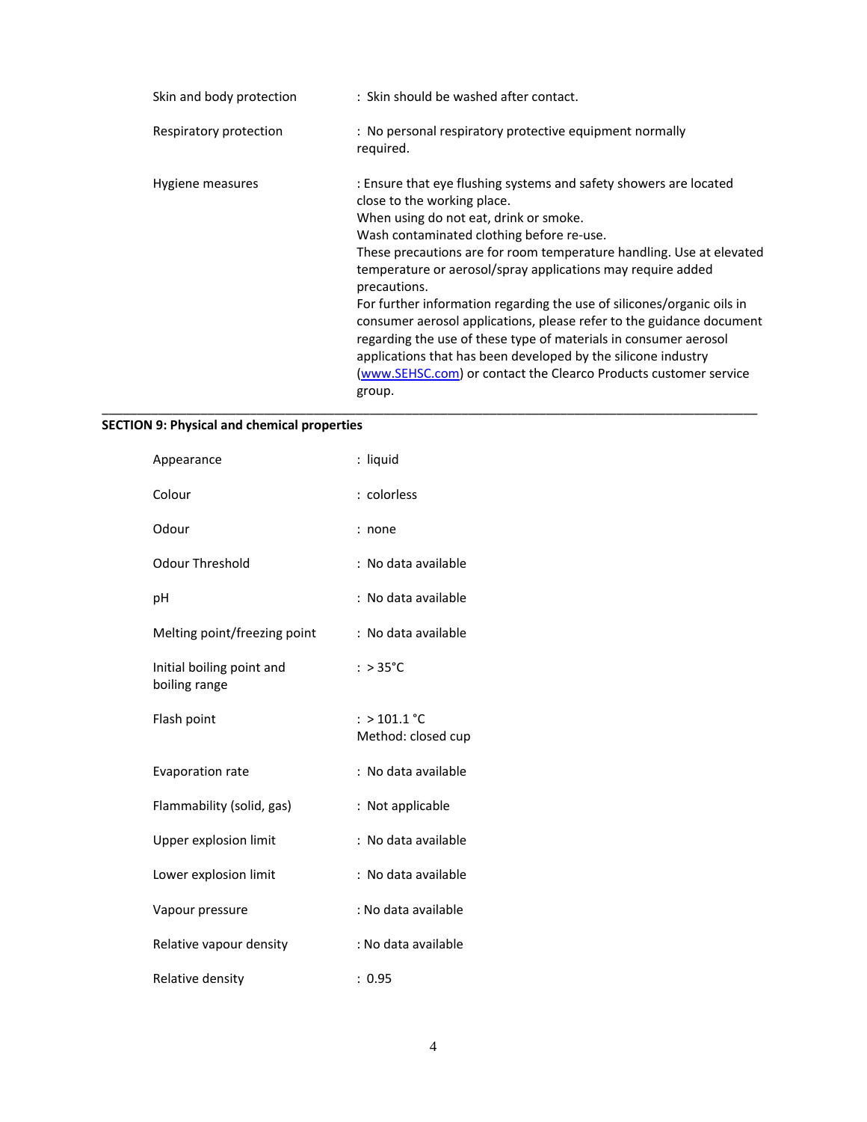| Skin and body protection | : Skin should be washed after contact.                                                                                                                                                                                                                                                                                                                                                                                                                                                                                                                                                                                                                                                                              |
|--------------------------|---------------------------------------------------------------------------------------------------------------------------------------------------------------------------------------------------------------------------------------------------------------------------------------------------------------------------------------------------------------------------------------------------------------------------------------------------------------------------------------------------------------------------------------------------------------------------------------------------------------------------------------------------------------------------------------------------------------------|
| Respiratory protection   | : No personal respiratory protective equipment normally<br>required.                                                                                                                                                                                                                                                                                                                                                                                                                                                                                                                                                                                                                                                |
| Hygiene measures         | : Ensure that eye flushing systems and safety showers are located<br>close to the working place.<br>When using do not eat, drink or smoke.<br>Wash contaminated clothing before re-use.<br>These precautions are for room temperature handling. Use at elevated<br>temperature or aerosol/spray applications may require added<br>precautions.<br>For further information regarding the use of silicones/organic oils in<br>consumer aerosol applications, please refer to the guidance document<br>regarding the use of these type of materials in consumer aerosol<br>applications that has been developed by the silicone industry<br>(www.SEHSC.com) or contact the Clearco Products customer service<br>group. |

## **SECTION 9: Physical and chemical properties**

| Appearance                                 | : liquid                             |
|--------------------------------------------|--------------------------------------|
| Colour                                     | : colorless                          |
| Odour                                      | : none                               |
| Odour Threshold                            | : No data available                  |
| рH                                         | : No data available                  |
| Melting point/freezing point               | : No data available                  |
| Initial boiling point and<br>boiling range | : $>35^{\circ}$ C                    |
| Flash point                                | : > $101.1$ °C<br>Method: closed cup |
| Evaporation rate                           | : No data available                  |
| Flammability (solid, gas)                  | : Not applicable                     |
| Upper explosion limit                      | : No data available                  |
| Lower explosion limit                      | : No data available                  |
| Vapour pressure                            | : No data available                  |
| Relative vapour density                    | : No data available                  |
| Relative density                           | : 0.95                               |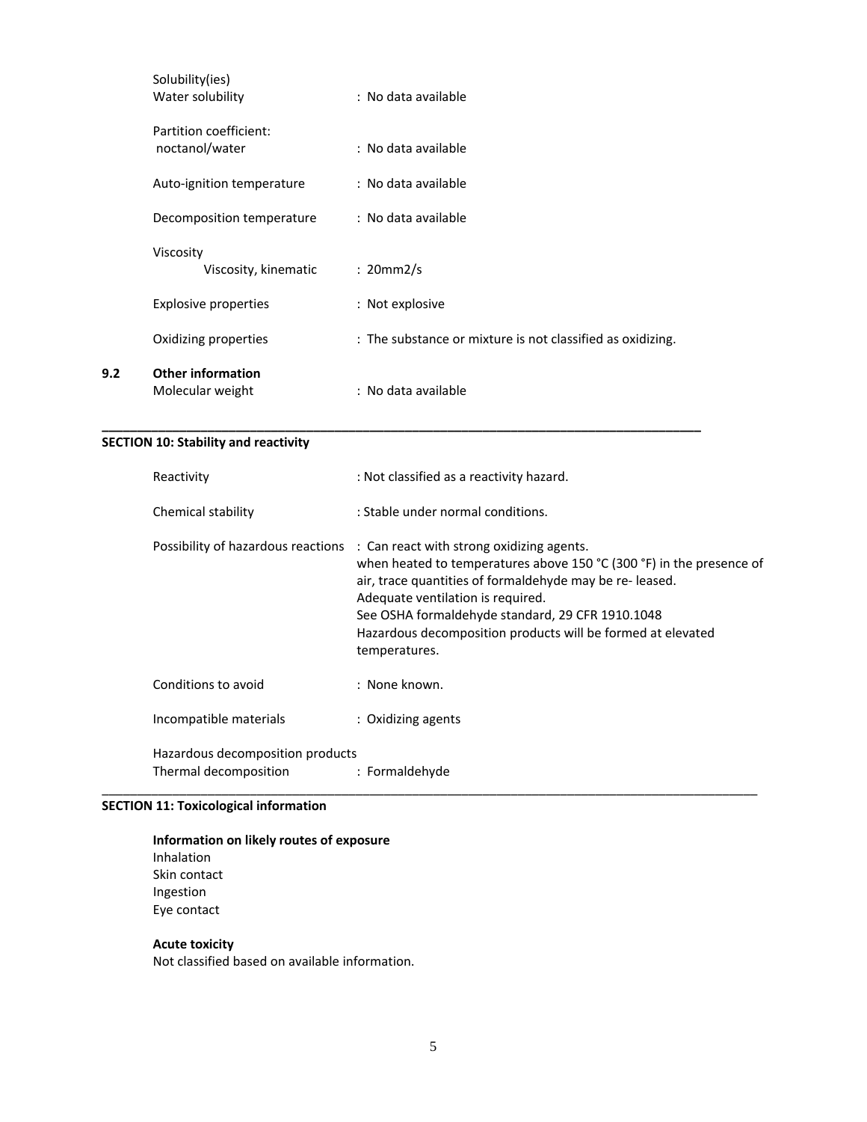| Solubility(ies)<br>Water solubility          | : No data available                                        |
|----------------------------------------------|------------------------------------------------------------|
| Partition coefficient:<br>noctanol/water     | : No data available                                        |
| Auto-ignition temperature                    | : No data available                                        |
| Decomposition temperature                    | : No data available                                        |
| Viscosity<br>Viscosity, kinematic            | : 20mm2/s                                                  |
| Explosive properties                         | : Not explosive                                            |
| Oxidizing properties                         | : The substance or mixture is not classified as oxidizing. |
| <b>Other information</b><br>Molecular weight | : No data available                                        |

**\_\_\_\_\_\_\_\_\_\_\_\_\_\_\_\_\_\_\_\_\_\_\_\_\_\_\_\_\_\_\_\_\_\_\_\_\_\_\_\_\_\_\_\_\_\_\_\_\_\_\_\_\_\_\_\_\_\_\_\_\_\_\_\_\_\_\_\_\_\_\_\_\_\_\_\_\_\_\_\_\_\_\_\_\_**

## **SECTION 10: Stability and reactivity**

**9.2 Other information**

| Reactivity                                                | : Not classified as a reactivity hazard.                                                                                                                                                                                                                                                                                                                                                 |
|-----------------------------------------------------------|------------------------------------------------------------------------------------------------------------------------------------------------------------------------------------------------------------------------------------------------------------------------------------------------------------------------------------------------------------------------------------------|
| Chemical stability                                        | : Stable under normal conditions.                                                                                                                                                                                                                                                                                                                                                        |
|                                                           | Possibility of hazardous reactions : Can react with strong oxidizing agents.<br>when heated to temperatures above 150 °C (300 °F) in the presence of<br>air, trace quantities of formaldehyde may be re-leased.<br>Adequate ventilation is required.<br>See OSHA formaldehyde standard, 29 CFR 1910.1048<br>Hazardous decomposition products will be formed at elevated<br>temperatures. |
| Conditions to avoid                                       | : None known.                                                                                                                                                                                                                                                                                                                                                                            |
| Incompatible materials                                    | : Oxidizing agents                                                                                                                                                                                                                                                                                                                                                                       |
| Hazardous decomposition products<br>Thermal decomposition | : Formaldehyde                                                                                                                                                                                                                                                                                                                                                                           |

## **SECTION 11: Toxicological information**

## **Information on likely routes of exposure**

Inhalation Skin contact Ingestion Eye contact

#### **Acute toxicity**

Not classified based on available information.

\_\_\_\_\_\_\_\_\_\_\_\_\_\_\_\_\_\_\_\_\_\_\_\_\_\_\_\_\_\_\_\_\_\_\_\_\_\_\_\_\_\_\_\_\_\_\_\_\_\_\_\_\_\_\_\_\_\_\_\_\_\_\_\_\_\_\_\_\_\_\_\_\_\_\_\_\_\_\_\_\_\_\_\_\_\_\_\_\_\_\_\_\_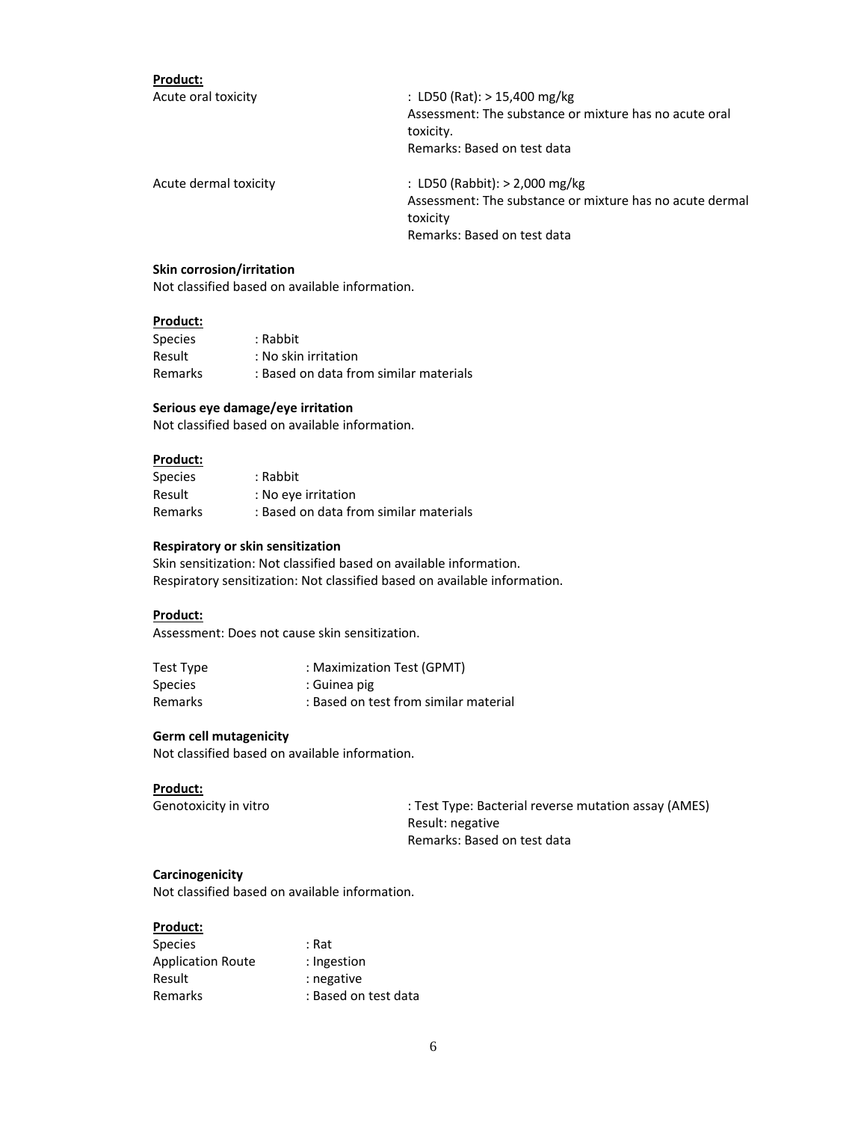| Product:              |                                                                                                       |  |
|-----------------------|-------------------------------------------------------------------------------------------------------|--|
| Acute oral toxicity   | : LD50 (Rat): $> 15,400$ mg/kg<br>Assessment: The substance or mixture has no acute oral<br>toxicity. |  |
| Acute dermal toxicity | Remarks: Based on test data<br>: LD50 (Rabbit): $> 2,000$ mg/kg                                       |  |
|                       | Assessment: The substance or mixture has no acute dermal<br>toxicity<br>Remarks: Based on test data   |  |
|                       |                                                                                                       |  |

#### **Skin corrosion/irritation**

Not classified based on available information.

#### **Product:**

| <b>Species</b> | : Rabbit                               |
|----------------|----------------------------------------|
| Result         | : No skin irritation                   |
| Remarks        | : Based on data from similar materials |

#### **Serious eye damage/eye irritation**

Not classified based on available information.

#### **Product:**

| Species | : Rabbit                               |
|---------|----------------------------------------|
| Result  | : No eye irritation                    |
| Remarks | : Based on data from similar materials |

#### **Respiratory or skin sensitization**

Skin sensitization: Not classified based on available information. Respiratory sensitization: Not classified based on available information.

#### **Product:**

Assessment: Does not cause skin sensitization.

| Test Type      | : Maximization Test (GPMT)            |
|----------------|---------------------------------------|
| <b>Species</b> | : Guinea pig                          |
| Remarks        | : Based on test from similar material |

#### **Germ cell mutagenicity**

Not classified based on available information.

#### **Product:**

Genotoxicity in vitro : Test Type: Bacterial reverse mutation assay (AMES) Result: negative Remarks: Based on test data

#### **Carcinogenicity**

Not classified based on available information.

#### **Product:**

| <b>Species</b>           | : Rat                |
|--------------------------|----------------------|
| <b>Application Route</b> | : Ingestion          |
| Result                   | : negative           |
| Remarks                  | : Based on test data |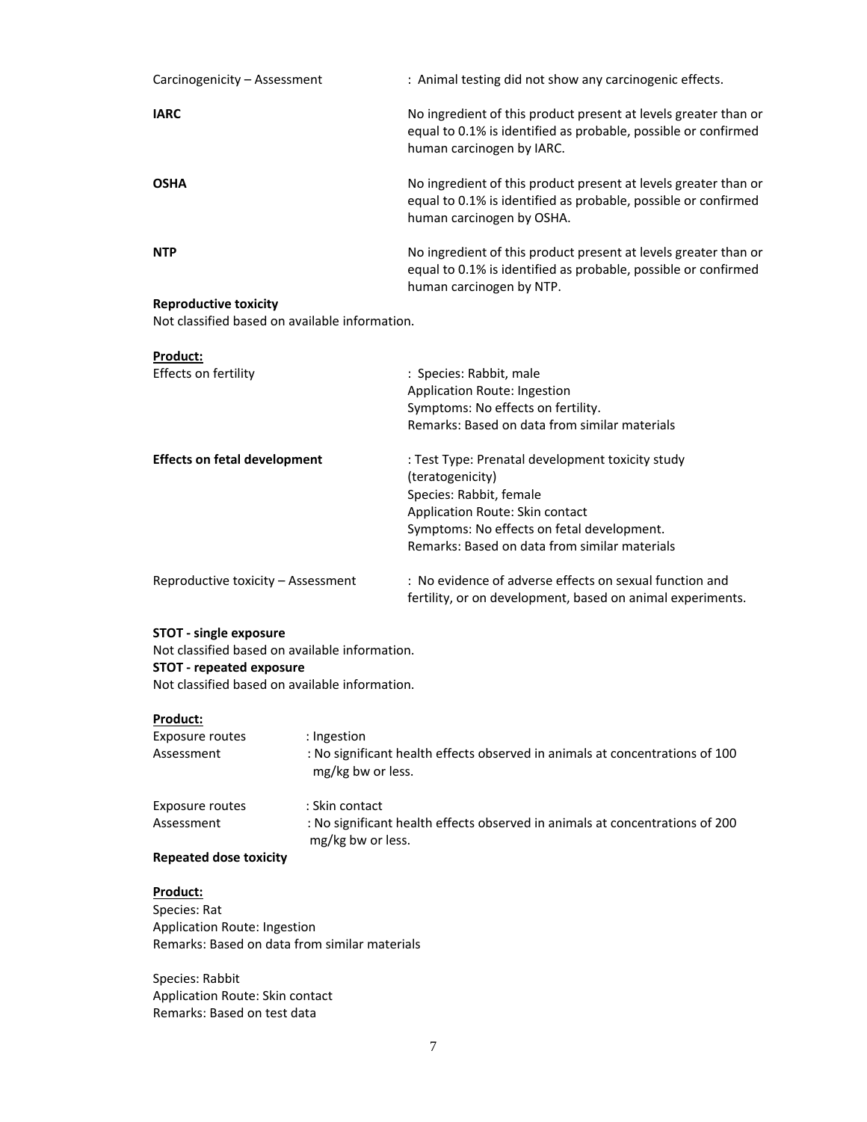| Carcinogenicity - Assessment | : Animal testing did not show any carcinogenic effects.                                                                                                        |
|------------------------------|----------------------------------------------------------------------------------------------------------------------------------------------------------------|
| <b>IARC</b>                  | No ingredient of this product present at levels greater than or<br>equal to 0.1% is identified as probable, possible or confirmed<br>human carcinogen by IARC. |
| <b>OSHA</b>                  | No ingredient of this product present at levels greater than or<br>equal to 0.1% is identified as probable, possible or confirmed<br>human carcinogen by OSHA. |
| <b>NTP</b>                   | No ingredient of this product present at levels greater than or<br>equal to 0.1% is identified as probable, possible or confirmed<br>human carcinogen by NTP.  |
| <b>Reproductive toxicity</b> |                                                                                                                                                                |

Not classified based on available information.

| Product:                            |                                                                                                                       |
|-------------------------------------|-----------------------------------------------------------------------------------------------------------------------|
| Effects on fertility                | : Species: Rabbit, male                                                                                               |
|                                     | Application Route: Ingestion                                                                                          |
|                                     | Symptoms: No effects on fertility.                                                                                    |
|                                     | Remarks: Based on data from similar materials                                                                         |
| <b>Effects on fetal development</b> | : Test Type: Prenatal development toxicity study                                                                      |
|                                     | (teratogenicity)                                                                                                      |
|                                     | Species: Rabbit, female                                                                                               |
|                                     | Application Route: Skin contact                                                                                       |
|                                     | Symptoms: No effects on fetal development.                                                                            |
|                                     | Remarks: Based on data from similar materials                                                                         |
| Reproductive toxicity – Assessment  | : No evidence of adverse effects on sexual function and<br>fertility, or on development, based on animal experiments. |

#### **STOT ‐ single exposure**

Not classified based on available information. **STOT ‐ repeated exposure** Not classified based on available information.

#### **Product:**

| Exposure routes<br>Assessment | : Ingestion<br>: No significant health effects observed in animals at concentrations of 100<br>mg/kg bw or less.    |
|-------------------------------|---------------------------------------------------------------------------------------------------------------------|
| Exposure routes<br>Assessment | : Skin contact<br>: No significant health effects observed in animals at concentrations of 200<br>mg/kg bw or less. |

#### **Repeated dose toxicity**

**Product:**

Species: Rat Application Route: Ingestion Remarks: Based on data from similar materials

Species: Rabbit Application Route: Skin contact Remarks: Based on test data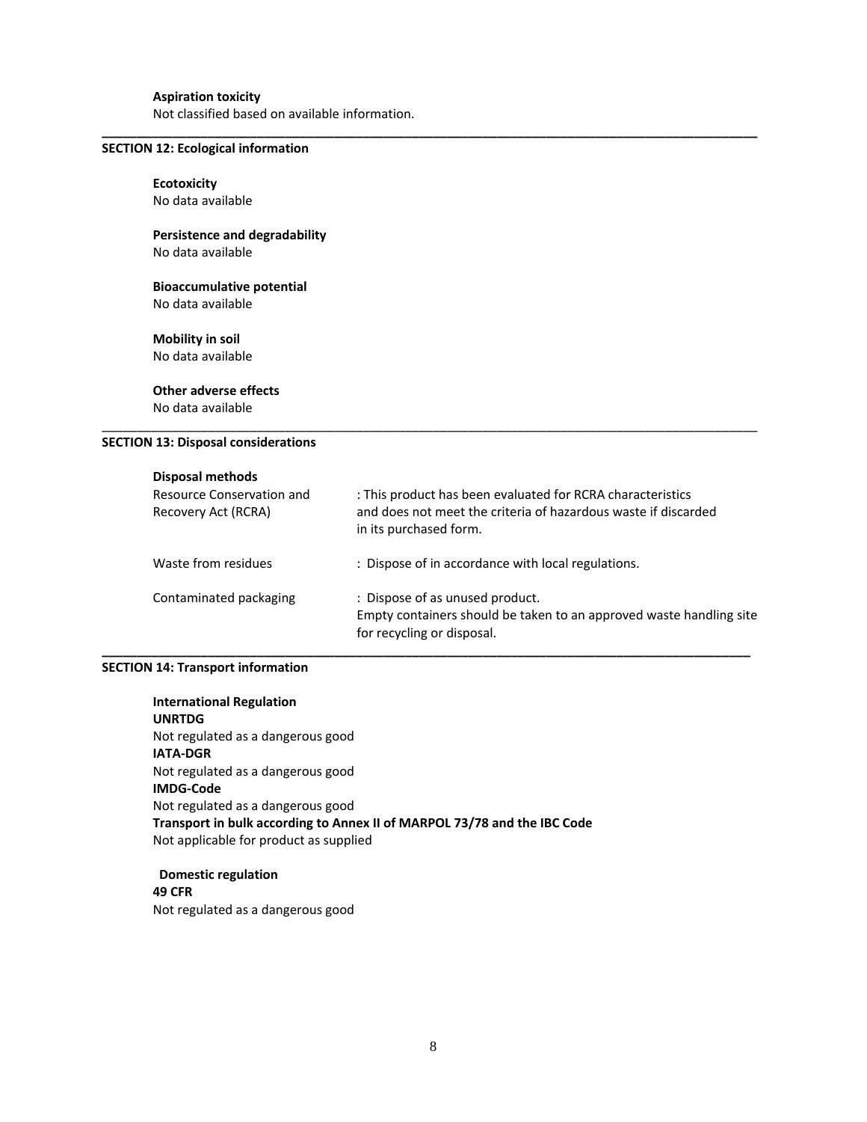#### **Aspiration toxicity**

Not classified based on available information.

#### **SECTION 12: Ecological information**

**Ecotoxicity** No data available

#### **Persistence and degradability** No data available

#### **Bioaccumulative potential** No data available

**Mobility in soil** No data available

**Other adverse effects** No data available

#### **SECTION 13: Disposal considerations**

#### **Disposal methods**

| Resource Conservation and<br>Recovery Act (RCRA) | : This product has been evaluated for RCRA characteristics<br>and does not meet the criteria of hazardous waste if discarded<br>in its purchased form. |
|--------------------------------------------------|--------------------------------------------------------------------------------------------------------------------------------------------------------|
| Waste from residues                              | : Dispose of in accordance with local regulations.                                                                                                     |
| Contaminated packaging                           | : Dispose of as unused product.<br>Empty containers should be taken to an approved waste handling site<br>for recycling or disposal.                   |

**\_\_\_\_\_\_\_\_\_\_\_\_\_\_\_\_\_\_\_\_\_\_\_\_\_\_\_\_\_\_\_\_\_\_\_\_\_\_\_\_\_\_\_\_\_\_\_\_\_\_\_\_\_\_\_\_\_\_\_\_\_\_\_\_\_\_\_\_\_\_\_\_\_\_\_\_\_\_\_\_\_\_\_\_\_\_\_\_\_\_\_\_**

\_\_\_\_\_\_\_\_\_\_\_\_\_\_\_\_\_\_\_\_\_\_\_\_\_\_\_\_\_\_\_\_\_\_\_\_\_\_\_\_\_\_\_\_\_\_\_\_\_\_\_\_\_\_\_\_\_\_\_\_\_\_\_\_\_\_\_\_\_\_\_\_\_\_\_\_\_\_\_\_\_\_\_\_\_\_\_\_\_\_\_\_\_

**\_\_\_\_\_\_\_\_\_\_\_\_\_\_\_\_\_\_\_\_\_\_\_\_\_\_\_\_\_\_\_\_\_\_\_\_\_\_\_\_\_\_\_\_\_\_\_\_\_\_\_\_\_\_\_\_\_\_\_\_\_\_\_\_\_\_\_\_\_\_\_\_\_\_\_\_\_\_\_\_\_\_\_\_\_\_\_\_\_\_\_\_\_**

#### **SECTION 14: Transport information**

**International Regulation UNRTDG** Not regulated as a dangerous good **IATA‐DGR** Not regulated as a dangerous good **IMDG‐Code** Not regulated as a dangerous good **Transport in bulk according to Annex II of MARPOL 73/78 and the IBC Code** Not applicable for product as supplied

 **Domestic regulation 49 CFR** Not regulated as a dangerous good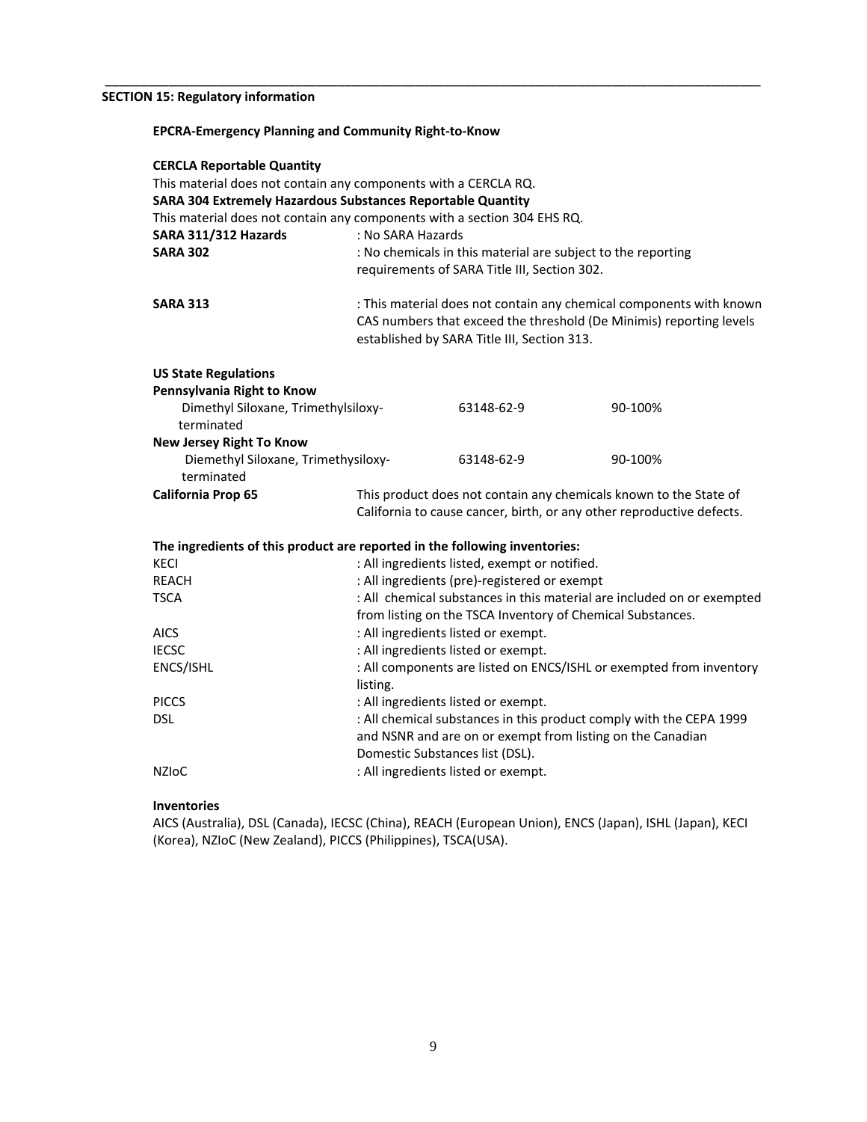#### **SECTION 15: Regulatory information**

| <b>EPCRA-Emergency Planning and Community Right-to-Know</b>                                                                                                                                                    |                                                                                                                                                                                                               |                                                                                                                                   |                                                                        |
|----------------------------------------------------------------------------------------------------------------------------------------------------------------------------------------------------------------|---------------------------------------------------------------------------------------------------------------------------------------------------------------------------------------------------------------|-----------------------------------------------------------------------------------------------------------------------------------|------------------------------------------------------------------------|
| <b>CERCLA Reportable Quantity</b><br>This material does not contain any components with a CERCLA RQ.<br>SARA 304 Extremely Hazardous Substances Reportable Quantity<br>SARA 311/312 Hazards<br><b>SARA 302</b> | This material does not contain any components with a section 304 EHS RQ.<br>: No SARA Hazards<br>: No chemicals in this material are subject to the reporting<br>requirements of SARA Title III, Section 302. |                                                                                                                                   |                                                                        |
| <b>SARA 313</b>                                                                                                                                                                                                | : This material does not contain any chemical components with known<br>CAS numbers that exceed the threshold (De Minimis) reporting levels<br>established by SARA Title III, Section 313.                     |                                                                                                                                   |                                                                        |
| <b>US State Regulations</b>                                                                                                                                                                                    |                                                                                                                                                                                                               |                                                                                                                                   |                                                                        |
| Pennsylvania Right to Know                                                                                                                                                                                     |                                                                                                                                                                                                               |                                                                                                                                   |                                                                        |
| Dimethyl Siloxane, Trimethylsiloxy-<br>terminated                                                                                                                                                              |                                                                                                                                                                                                               | 63148-62-9                                                                                                                        | 90-100%                                                                |
| <b>New Jersey Right To Know</b><br>Diemethyl Siloxane, Trimethysiloxy-<br>terminated                                                                                                                           |                                                                                                                                                                                                               | 63148-62-9                                                                                                                        | 90-100%                                                                |
| California Prop 65                                                                                                                                                                                             | This product does not contain any chemicals known to the State of<br>California to cause cancer, birth, or any other reproductive defects.                                                                    |                                                                                                                                   |                                                                        |
| The ingredients of this product are reported in the following inventories:                                                                                                                                     |                                                                                                                                                                                                               |                                                                                                                                   |                                                                        |
| <b>KECI</b>                                                                                                                                                                                                    |                                                                                                                                                                                                               | : All ingredients listed, exempt or notified.                                                                                     |                                                                        |
| <b>REACH</b>                                                                                                                                                                                                   |                                                                                                                                                                                                               | : All ingredients (pre)-registered or exempt                                                                                      |                                                                        |
| <b>TSCA</b>                                                                                                                                                                                                    |                                                                                                                                                                                                               |                                                                                                                                   | : All chemical substances in this material are included on or exempted |
|                                                                                                                                                                                                                | from listing on the TSCA Inventory of Chemical Substances.                                                                                                                                                    |                                                                                                                                   |                                                                        |
| <b>AICS</b>                                                                                                                                                                                                    | : All ingredients listed or exempt.                                                                                                                                                                           |                                                                                                                                   |                                                                        |
| <b>IECSC</b>                                                                                                                                                                                                   | : All ingredients listed or exempt.                                                                                                                                                                           |                                                                                                                                   |                                                                        |
| ENCS/ISHL                                                                                                                                                                                                      | : All components are listed on ENCS/ISHL or exempted from inventory<br>listing.                                                                                                                               |                                                                                                                                   |                                                                        |
| <b>PICCS</b>                                                                                                                                                                                                   | : All ingredients listed or exempt.                                                                                                                                                                           |                                                                                                                                   |                                                                        |
| <b>DSL</b>                                                                                                                                                                                                     | Domestic Substances list (DSL).                                                                                                                                                                               | : All chemical substances in this product comply with the CEPA 1999<br>and NSNR and are on or exempt from listing on the Canadian |                                                                        |
| <b>NZIOC</b>                                                                                                                                                                                                   | : All ingredients listed or exempt.                                                                                                                                                                           |                                                                                                                                   |                                                                        |

\_\_\_\_\_\_\_\_\_\_\_\_\_\_\_\_\_\_\_\_\_\_\_\_\_\_\_\_\_\_\_\_\_\_\_\_\_\_\_\_\_\_\_\_\_\_\_\_\_\_\_\_\_\_\_\_\_\_\_\_\_\_\_\_\_\_\_\_\_\_\_\_\_\_\_\_\_\_\_\_\_\_\_\_\_\_\_\_\_\_\_\_\_

#### **Inventories**

AICS (Australia), DSL (Canada), IECSC (China), REACH (European Union), ENCS (Japan), ISHL (Japan), KECI (Korea), NZIoC (New Zealand), PICCS (Philippines), TSCA(USA).